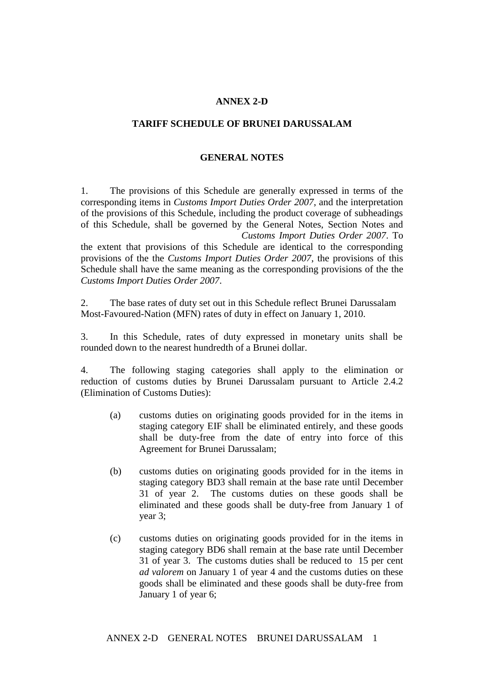## **ANNEX 2-D**

## **TARIFF SCHEDULE OF BRUNEI DARUSSALAM**

## **GENERAL NOTES**

1. The provisions of this Schedule are generally expressed in terms of the corresponding items in *Customs Import Duties Order 2007*, and the interpretation of the provisions of this Schedule, including the product coverage of subheadings of this Schedule, shall be governed by the General Notes, Section Notes and Customs Import Duties Order 2007. To

the extent that provisions of this Schedule are identical to the corresponding provisions of the the *Customs Import Duties Order 2007*, the provisions of this Schedule shall have the same meaning as the corresponding provisions of the the *Customs Import Duties Order 2007*.

2. The base rates of duty set out in this Schedule reflect Brunei Darussalam's Most-Favoured-Nation (MFN) rates of duty in effect on January 1, 2010.

3. In this Schedule, rates of duty expressed in monetary units shall be rounded down to the nearest hundredth of a Brunei dollar.

4. The following staging categories shall apply to the elimination or reduction of customs duties by Brunei Darussalam pursuant to Article 2.4.2 (Elimination of Customs Duties):

- (a) customs duties on originating goods provided for in the items in staging category EIF shall be eliminated entirely, and these goods shall be duty-free from the date of entry into force of this Agreement for Brunei Darussalam;
- (b) customs duties on originating goods provided for in the items in staging category BD3 shall remain at the base rate until December 31 of year 2. The customs duties on these goods shall be eliminated and these goods shall be duty-free from January 1 of year 3;
- (c) customs duties on originating goods provided for in the items in staging category BD6 shall remain at the base rate until December 31 of year 3. The customs duties shall be reduced to 15 per cent *ad valorem* on January 1 of year 4 and the customs duties on these goods shall be eliminated and these goods shall be duty-free from January 1 of year 6;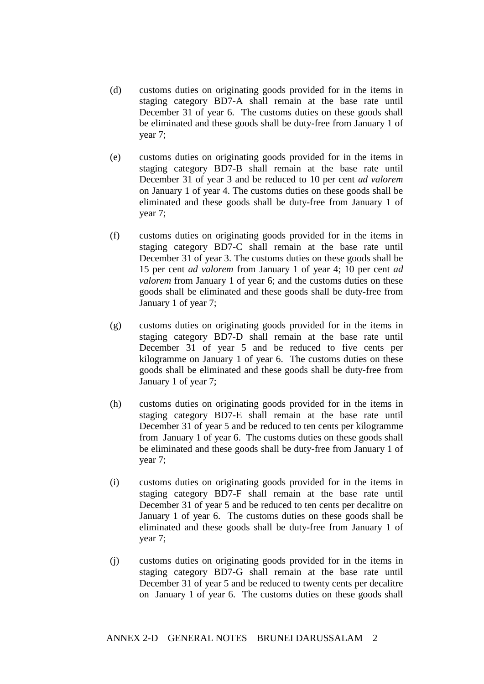- (d) customs duties on originating goods provided for in the items in staging category BD7-A shall remain at the base rate until December 31 of year 6. The customs duties on these goods shall be eliminated and these goods shall be duty-free from January 1 of year 7;
- (e) customs duties on originating goods provided for in the items in staging category BD7-B shall remain at the base rate until December 31 of year 3 and be reduced to 10 per cent *ad valorem* on January 1 of year 4. The customs duties on these goods shall be eliminated and these goods shall be duty-free from January 1 of year 7;
- (f) customs duties on originating goods provided for in the items in staging category BD7-C shall remain at the base rate until December 31 of year 3. The customs duties on these goods shall be 15 per cent *ad valorem* from January 1 of year 4; 10 per cent *ad valorem* from January 1 of year 6; and the customs duties on these goods shall be eliminated and these goods shall be duty-free from January 1 of year 7;
- (g) customs duties on originating goods provided for in the items in staging category BD7-D shall remain at the base rate until December 31 of year 5 and be reduced to five cents per kilogramme on January 1 of year 6. The customs duties on these goods shall be eliminated and these goods shall be duty-free from January 1 of year 7;
- (h) customs duties on originating goods provided for in the items in staging category BD7-E shall remain at the base rate until December 31 of year 5 and be reduced to ten cents per kilogramme from January 1 of year 6. The customs duties on these goods shall be eliminated and these goods shall be duty-free from January 1 of year 7;
- (i) customs duties on originating goods provided for in the items in staging category BD7-F shall remain at the base rate until December 31 of year 5 and be reduced to ten cents per decalitre on January 1 of year 6. The customs duties on these goods shall be eliminated and these goods shall be duty-free from January 1 of year 7;
- (j) customs duties on originating goods provided for in the items in staging category BD7-G shall remain at the base rate until December 31 of year 5 and be reduced to twenty cents per decalitre on January 1 of year 6. The customs duties on these goods shall